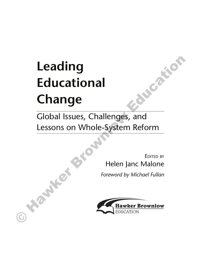# **Leading Educational Change** Change<br>Global Issues, Challenges, and

Lessons on Whole-System Reform

EDITED BY Helen Janc Malone *Foreword by Michael Fullan* EDITED BY<br>
Helen Janc Malone<br>
Foreword by Michael Fullan<br>
EDUCATION

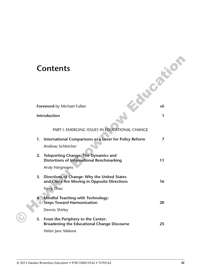## **Contents**

|              | <b>Contents</b>                                                                             |                |
|--------------|---------------------------------------------------------------------------------------------|----------------|
|              |                                                                                             | <b>ENGLAND</b> |
|              | Foreword by Michael Fullan                                                                  |                |
| Introduction |                                                                                             |                |
|              | PART I: EMERGING ISSUES IN EDUCATIONAL CHANGE                                               |                |
| 1.           | International Comparisons as a Lever for Policy Reform<br>Andreas Schleicher                | 7              |
|              | 2. Teleporting Change: The Dynamics and<br><b>Distortions of International Benchmarking</b> | 11             |
|              | Andy Hargreaves                                                                             |                |
| 3.           | Directions of Change: Why the United States<br>and China Are Moving in Opposite Directions  | 16             |
|              | Yong Zhao<br>4. Mindful Teaching with Technology:                                           |                |
|              | <b>Steps Toward Harmonization</b>                                                           | 20             |
|              | Dennis Shirley                                                                              |                |
| 5.           | From the Periphery to the Center:<br><b>Broadening the Educational Change Discourse</b>     | 25             |
|              | Helen Janc Malone                                                                           |                |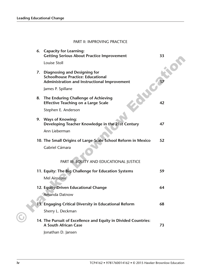### PART II: IMPROVING PRACTICE

| 6. | <b>Capacity for Learning:</b><br><b>Getting Serious About Practice Improvement</b>                                          | 33 |
|----|-----------------------------------------------------------------------------------------------------------------------------|----|
|    | Louise Stoll                                                                                                                |    |
|    | 7. Diagnosing and Designing for<br><b>Schoolhouse Practice: Educational</b><br>Administration and Instructional Improvement | 37 |
|    | James P. Spillane                                                                                                           |    |
|    | BUC<br>8. The Enduring Challenge of Achieving<br><b>Effective Teaching on a Large Scale</b>                                 | 42 |
|    | Stephen E. Anderson                                                                                                         |    |
|    | 9. Ways of Knowing:<br>Developing Teacher Knowledge in the 21st Century                                                     | 47 |
|    | Ann Lieberman                                                                                                               |    |
|    | 10. The Small Origins of Large-Scale School Reform in Mexico                                                                | 52 |
|    | Gabriel Cámara                                                                                                              |    |
|    | PART III: EQUITY AND EDUCATIONAL JUSTICE                                                                                    |    |
|    | 11. Equity: The Big Challenge for Education Systems                                                                         | 59 |
|    | Mel Ainscow                                                                                                                 |    |
|    | 12. Equity-Driven Educational Change                                                                                        | 64 |
|    | Amanda Datnow                                                                                                               |    |
|    | 13. Engaging Critical Diversity in Educational Reform                                                                       | 68 |
|    | Sherry L. Deckman                                                                                                           |    |
|    | 14. The Pursuit of Excellence and Equity in Divided Countries:<br>A South African Case                                      | 73 |
|    | Jonathan D. Jansen                                                                                                          |    |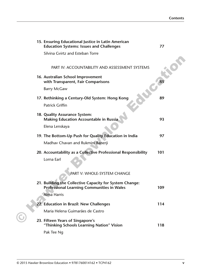|  | 15. Ensuring Educational Justice in Latin American<br><b>Education Systems: Issues and Challenges</b>        | 77  |
|--|--------------------------------------------------------------------------------------------------------------|-----|
|  | Silvina Gvirtz and Esteban Torre                                                                             |     |
|  | PART IV: ACCOUNTABILITY AND ASSESSMENT SYSTEMS                                                               |     |
|  | 16. Australian School Improvement<br>with Transparent, Fair Comparisons                                      | 85  |
|  | <b>Barry McGaw</b>                                                                                           |     |
|  | 17. Rethinking a Century-Old System: Hong Kong                                                               | 89  |
|  | <b>Patrick Griffin</b>                                                                                       |     |
|  | 18. Quality Assurance System:<br><b>Making Education Accountable in Russia</b>                               | 93  |
|  | Elena Lenskaya                                                                                               |     |
|  | 19. The Bottom-Up Push for Quality Education in India<br>Madhav Chavan and Rukmini Banerji                   | 97  |
|  |                                                                                                              |     |
|  | 20. Accountability as a Collective Professional Responsibility<br>Lorna Earl                                 | 101 |
|  |                                                                                                              |     |
|  | PART V: WHOLE-SYSTEM CHANGE                                                                                  |     |
|  | 21. Building the Collective Capacity for System Change:<br><b>Professional Learning Communities in Wales</b> | 109 |
|  | <b>Alma Harris</b>                                                                                           |     |
|  | 22. Education in Brazil: New Challenges                                                                      | 114 |
|  | Maria Helena Guimarães de Castro                                                                             |     |
|  | 23. Fifteen Years of Singapore's<br>"Thinking Schools Learning Nation" Vision                                | 118 |
|  | Pak Tee Ng                                                                                                   |     |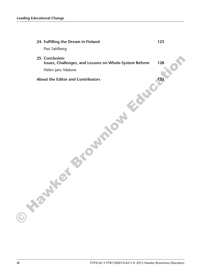| 24. Fulfilling the Dream in Finland                                       | 123 |
|---------------------------------------------------------------------------|-----|
| Pasi Sahlberg                                                             |     |
| 25. Conclusion:<br>Issues, Challenges, and Lessons on Whole-System Reform | 128 |
|                                                                           |     |
|                                                                           |     |
| Hawker Brownlow Education                                                 |     |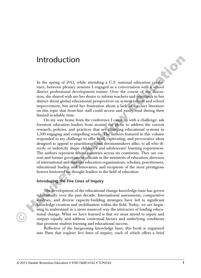## Introduction

In the spring of 2011, while attending a U.S. national education conference, between plenary sessions I engaged in a conversation with a school district professional development trainer. Over the course of our discussion, she shared with me her desire to inform teachers and principals in her district about global educational perspectives on system reform and school improvement, but aired her frustration about a lack of succinct literature on this topic that front-line staff could access and easily read during their limited available time.

On my way home from the conference I came up with a challenge: ask foremost education leaders from around the globe to address the current research, policies, and practices that are changing educational systems in 1,500 engaging and compelling words. The authors featured in this volume responded to my challenge to offer brief, captivating, and provocative ideas designed to appeal to practitioners and decisionmakers alike, to all who directly or indirectly shape children's and adolescents' learning experiences. The authors represent fifteen countries across six continents. They are current and former government officials in the ministries of education, directors of international and national education organizations, scholars, practitioners, educational leaders and innovators, and recipients of the most prestigious honors bestowed on thought leaders in the field of education. Introduction<br>
In the spring of 2011, while attending a U.S. national education conference, between plenary sessions I engaged in a conversation with a sehocl<br>
district professions, the shared with me further deutro there

#### **Introducing the Five Lines of Inquiry**

The development of the educational change knowledge base has grown substantially over the past decade. International assessments, comparative analyses, and diverse capacity-building strategies have led to significant knowledge creation and mobilization within the field. Today, we are beginning to understand in a more nuanced way the intricacies of leading educational change. What we have learned is that we must attend to inputs and outputs equally and address contextual factors and underlying conditions that promote student learning and educational success.

Reflective of the burgeoning knowledge base, this book is organized into Parts that explore five lines of inquiry, each of which offers a brief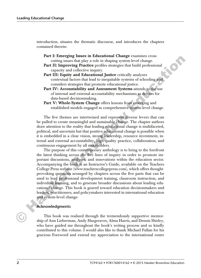introduction, situates the thematic discourse, and introduces the chapters contained therein:

- **Part I: Emerging Issues in Educational Change** examines crosscutting issues that play a role in shaping system-level change.
- **Part II: Improving Practice** profiles strategies that build professional capacity and collective inquiry.
- Part III: Equity and Educational Justice critically analyzes contextual factors that lead to inequitable systems of schooling and considers strategies that promote educational justice.
- **Part IV: Accountability and Assessment Systems** attends to the use of internal and external accountability mechanisms as drivers for data-based decisionmaking.
- **Part V: Whole-System Change** offers lessons from emerging and established models engaged in comprehensive system-level change.

The five themes are intertwined and represent diverse levers that can be pulled to create meaningful and sustainable change. The chapter authors draw attention to the reality that leading educational change is multifaceted, political, and uncertain but that positive educational change is possible when it is embedded in a clear vision, strong leadership, resource investment, internal and external accountability, high-quality practice, collaboration, and continuous engagement by all stakeholders.

The purpose of this contemporary anthology is to bring to the forefront the latest thinking across the five lines of inquiry in order to promote important discussions, analyses, and innovations within the education sector. Accompanying the book is an Instructor's Guide, available on the Teachers College Press website (www.teacherscollegepress.com), which offers thoughtprovoking questions arranged by chapters across the five parts that can be used to lead professional development training, classroom instruction, and individual learning, and to generate broader discussions about leading educational change. This book is geared toward education decisionmakers and leaders, practitioners, and policymakers interested in international education and system-level change. Figure 1 come<br>grays susses in Locational Change examines crosses and the control of<br>restrictions) and capacity and collective profiles strategies that build professional<br>capacity and collective inquiry.<br>Fart II: Equality

#### **Acknowledgments**

This book was realized through the tremendously supportive mentorship of Ann Lieberman, Andy Hargreaves, Alma Harris, and Dennis Shirley, who have guided me throughout the book's writing process and so kindly contributed to this volume. I would also like to thank Michael Fullan for his gracious Foreword and extend my appreciation to the international roster